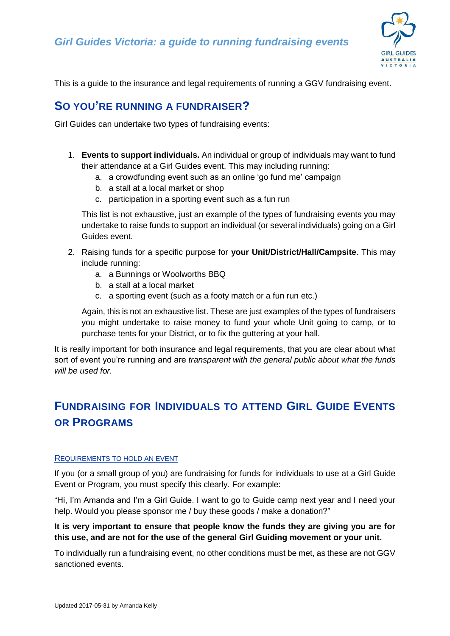*Girl Guides Victoria: a guide to running fundraising events*



This is a guide to the insurance and legal requirements of running a GGV fundraising event.

### **SO YOU'RE RUNNING A FUNDRAISER?**

Girl Guides can undertake two types of fundraising events:

- 1. **Events to support individuals.** An individual or group of individuals may want to fund their attendance at a Girl Guides event. This may including running:
	- a. a crowdfunding event such as an online 'go fund me' campaign
	- b. a stall at a local market or shop
	- c. participation in a sporting event such as a fun run

This list is not exhaustive, just an example of the types of fundraising events you may undertake to raise funds to support an individual (or several individuals) going on a Girl Guides event.

- 2. Raising funds for a specific purpose for **your Unit/District/Hall/Campsite**. This may include running:
	- a. a Bunnings or Woolworths BBQ
	- b. a stall at a local market
	- c. a sporting event (such as a footy match or a fun run etc.)

Again, this is not an exhaustive list. These are just examples of the types of fundraisers you might undertake to raise money to fund your whole Unit going to camp, or to purchase tents for your District, or to fix the guttering at your hall.

It is really important for both insurance and legal requirements, that you are clear about what sort of event you're running and are *transparent with the general public about what the funds will be used for.*

# **FUNDRAISING FOR INDIVIDUALS TO ATTEND GIRL GUIDE EVENTS OR PROGRAMS**

#### REQUIREMENTS TO HOLD AN EVENT

If you (or a small group of you) are fundraising for funds for individuals to use at a Girl Guide Event or Program, you must specify this clearly. For example:

"Hi, I'm Amanda and I'm a Girl Guide. I want to go to Guide camp next year and I need your help. Would you please sponsor me / buy these goods / make a donation?"

#### **It is very important to ensure that people know the funds they are giving you are for this use, and are not for the use of the general Girl Guiding movement or your unit.**

To individually run a fundraising event, no other conditions must be met, as these are not GGV sanctioned events.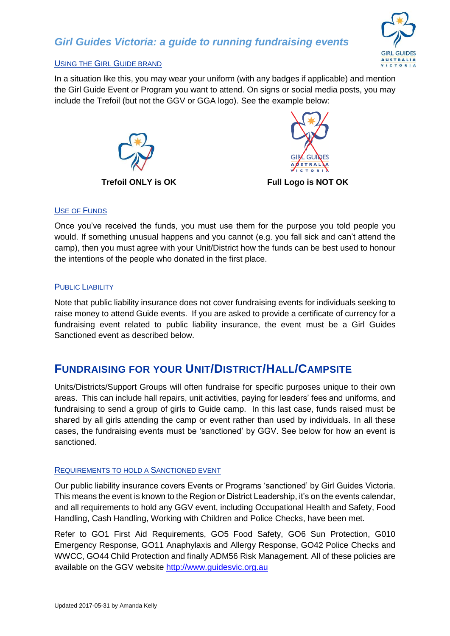

#### USING THE GIRL GUIDE BRAND

In a situation like this, you may wear your uniform (with any badges if applicable) and mention the Girl Guide Event or Program you want to attend. On signs or social media posts, you may include the Trefoil (but not the GGV or GGA logo). See the example below:





#### **Trefoil ONLY is OK Full Logo is NOT OK**

#### USE OF FUNDS

Once you've received the funds, you must use them for the purpose you told people you would. If something unusual happens and you cannot (e.g. you fall sick and can't attend the camp), then you must agree with your Unit/District how the funds can be best used to honour the intentions of the people who donated in the first place.

#### PUBLIC LIABILITY

Note that public liability insurance does not cover fundraising events for individuals seeking to raise money to attend Guide events. If you are asked to provide a certificate of currency for a fundraising event related to public liability insurance, the event must be a Girl Guides Sanctioned event as described below.

## **FUNDRAISING FOR YOUR UNIT/DISTRICT/HALL/CAMPSITE**

Units/Districts/Support Groups will often fundraise for specific purposes unique to their own areas. This can include hall repairs, unit activities, paying for leaders' fees and uniforms, and fundraising to send a group of girls to Guide camp. In this last case, funds raised must be shared by all girls attending the camp or event rather than used by individuals. In all these cases, the fundraising events must be 'sanctioned' by GGV. See below for how an event is sanctioned.

#### REQUIREMENTS TO HOLD A SANCTIONED EVENT

Our public liability insurance covers Events or Programs 'sanctioned' by Girl Guides Victoria. This means the event is known to the Region or District Leadership, it's on the events calendar, and all requirements to hold any GGV event, including Occupational Health and Safety, Food Handling, Cash Handling, Working with Children and Police Checks, have been met.

Refer to GO1 First Aid Requirements, GO5 Food Safety, GO6 Sun Protection, G010 Emergency Response, GO11 Anaphylaxis and Allergy Response, GO42 Police Checks and WWCC, GO44 Child Protection and finally ADM56 Risk Management. All of these policies are available on the GGV website [http://www.guidesvic.org.au](http://www.guidesvic.org.au/)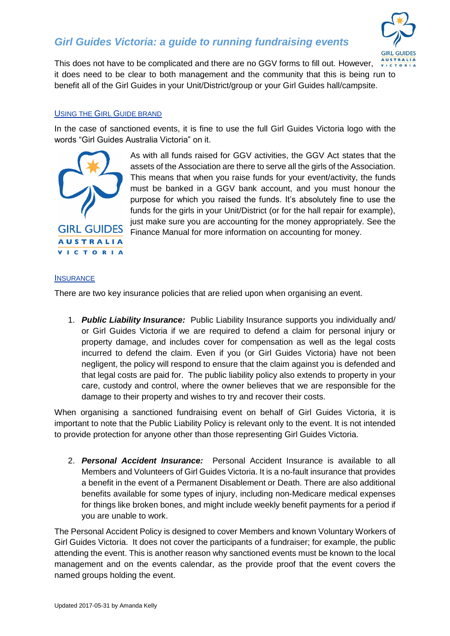### *Girl Guides Victoria: a guide to running fundraising events*



This does not have to be complicated and there are no GGV forms to fill out. However, it does need to be clear to both management and the community that this is being run to benefit all of the Girl Guides in your Unit/District/group or your Girl Guides hall/campsite.

#### USING THE GIRL GUIDE BRAND

In the case of sanctioned events, it is fine to use the full Girl Guides Victoria logo with the words "Girl Guides Australia Victoria" on it.



As with all funds raised for GGV activities, the GGV Act states that the assets of the Association are there to serve all the girls of the Association. This means that when you raise funds for your event/activity, the funds must be banked in a GGV bank account, and you must honour the purpose for which you raised the funds. It's absolutely fine to use the funds for the girls in your Unit/District (or for the hall repair for example), just make sure you are accounting for the money appropriately. See the Finance Manual for more information on accounting for money.

#### **INSURANCE**

There are two key insurance policies that are relied upon when organising an event.

1. *Public Liability Insurance:* Public Liability Insurance supports you individually and/ or Girl Guides Victoria if we are required to defend a claim for personal injury or property damage, and includes cover for compensation as well as the legal costs incurred to defend the claim. Even if you (or Girl Guides Victoria) have not been negligent, the policy will respond to ensure that the claim against you is defended and that legal costs are paid for. The public liability policy also extends to property in your care, custody and control, where the owner believes that we are responsible for the damage to their property and wishes to try and recover their costs.

When organising a sanctioned fundraising event on behalf of Girl Guides Victoria, it is important to note that the Public Liability Policy is relevant only to the event. It is not intended to provide protection for anyone other than those representing Girl Guides Victoria.

2. *Personal Accident Insurance:* Personal Accident Insurance is available to all Members and Volunteers of Girl Guides Victoria. It is a no-fault insurance that provides a benefit in the event of a Permanent Disablement or Death. There are also additional benefits available for some types of injury, including non-Medicare medical expenses for things like broken bones, and might include weekly benefit payments for a period if you are unable to work.

The Personal Accident Policy is designed to cover Members and known Voluntary Workers of Girl Guides Victoria. It does not cover the participants of a fundraiser; for example, the public attending the event. This is another reason why sanctioned events must be known to the local management and on the events calendar, as the provide proof that the event covers the named groups holding the event.